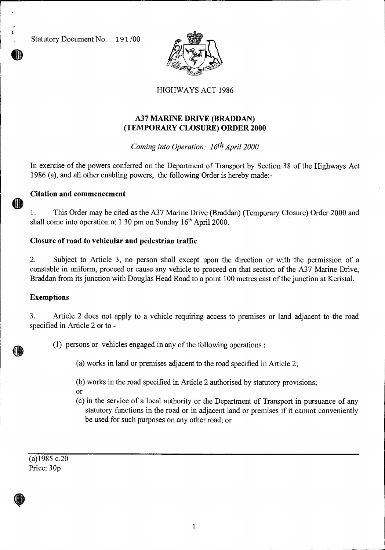Statutory Document No. 191 /00

III



# HIGHWAYS ACT 1986

# **A37 MARINE DRIVE (BRADDAN) (TEMPORARY CLOSURE) ORDER 2000**

*Coming into Operation: 16th April 2000* 

In exercise of the powers conferred on the Department of Transport by Section 38 of the Highways Act 1986 (a), and all other enabling powers, the following Order is hereby made:-

## **Citation and commencement**

1. This Order may be cited as the A37 Marine Drive (Braddan) (Temporary Closure) Order 2000 and shall come into operation at 1.30 pm on Sunday  $16<sup>th</sup>$  April 2000.

## **Closure of road to vehicular and pedestrian traffic**

2. Subject to Article 3, no person shall except upon the direction or with the permission of a constable in uniform, proceed or cause any vehicle to proceed on that section of the A37 Marine Drive, Braddan from its junction with Douglas Head Road to a point 100 metres east of the junction at Keristal.

### **Exemptions**

3. Article 2 does not apply to a vehicle requiring access to premises or land adjacent to the road specified in Article 2 or to -

(1) persons or vehicles engaged in any of the following operations :

(a) works in land or premises adjacent to the road specified in Article 2;

(b) works in the road specified in Article 2 authorised by statutory provisions;

- or
- (c) in the service of a local authority or the Department of Transport in pursuance of any statutory functions in the road or in adjacent land or premises if it cannot conveniently be used for such purposes on any other road; or

 $(a)1985$  c.20 Price: 30p